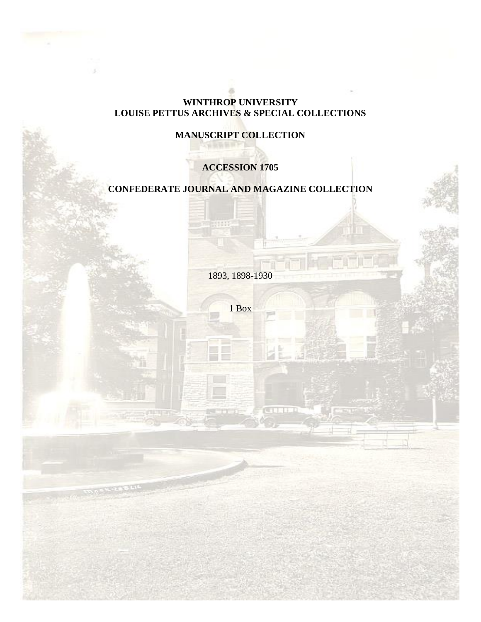## **WINTHROP UNIVERSITY LOUISE PETTUS ARCHIVES & SPECIAL COLLECTIONS**

# **MANUSCRIPT COLLECTION**

# **ACCESSION 1705**

# **CONFEDERATE JOURNAL AND MAGAZINE COLLECTION**

111

1893, 1898-1930

1 Box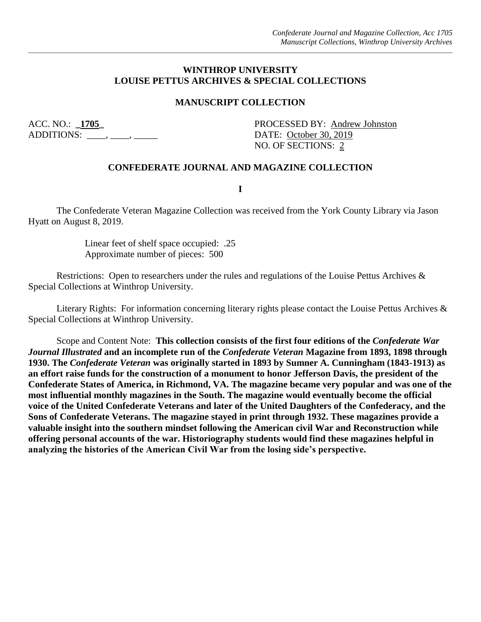#### **WINTHROP UNIVERSITY LOUISE PETTUS ARCHIVES & SPECIAL COLLECTIONS**

#### **MANUSCRIPT COLLECTION**

ADDITIONS: \_\_\_\_, \_\_\_\_, \_\_\_\_\_\_ DATE: <u>October 30, 2019</u>

ACC. NO.: **\_1705\_** PROCESSED BY: Andrew Johnston NO. OF SECTIONS: 2

#### **CONFEDERATE JOURNAL AND MAGAZINE COLLECTION**

**I**

The Confederate Veteran Magazine Collection was received from the York County Library via Jason Hyatt on August 8, 2019.

> Linear feet of shelf space occupied: .25 Approximate number of pieces: 500

Restrictions: Open to researchers under the rules and regulations of the Louise Pettus Archives & Special Collections at Winthrop University.

Literary Rights: For information concerning literary rights please contact the Louise Pettus Archives & Special Collections at Winthrop University.

Scope and Content Note: **This collection consists of the first four editions of the** *Confederate War Journal Illustrated* **and an incomplete run of the** *Confederate Veteran* **Magazine from 1893, 1898 through 1930. The** *Confederate Veteran* **was originally started in 1893 by Sumner A. Cunningham (1843-1913) as an effort raise funds for the construction of a monument to honor Jefferson Davis, the president of the Confederate States of America, in Richmond, VA. The magazine became very popular and was one of the most influential monthly magazines in the South. The magazine would eventually become the official voice of the United Confederate Veterans and later of the United Daughters of the Confederacy, and the Sons of Confederate Veterans. The magazine stayed in print through 1932. These magazines provide a valuable insight into the southern mindset following the American civil War and Reconstruction while offering personal accounts of the war. Historiography students would find these magazines helpful in analyzing the histories of the American Civil War from the losing side's perspective.**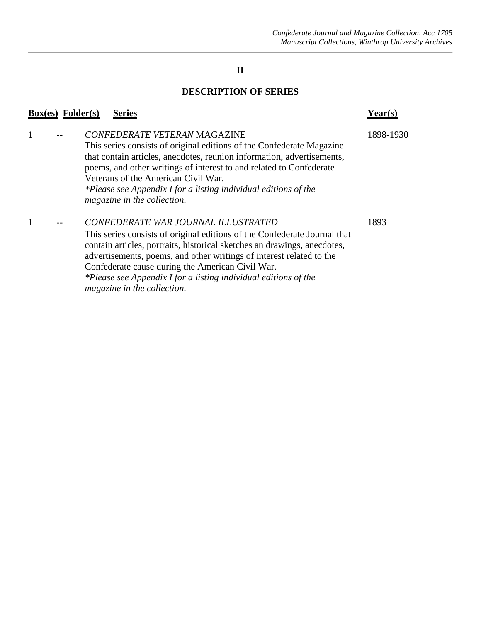### **II**

#### **DESCRIPTION OF SERIES**

#### **Box(es) Folder(s) Series Year(s)**

### 1 -- *CONFEDERATE VETERAN* MAGAZINE 1898-1930

This series consists of original editions of the Confederate Magazine that contain articles, anecdotes, reunion information, advertisements, poems, and other writings of interest to and related to Confederate Veterans of the American Civil War. *\*Please see Appendix I for a listing individual editions of the magazine in the collection.* 

#### 1 -- *CONFEDERATE WAR JOURNAL ILLUSTRATED* 1893

This series consists of original editions of the Confederate Journal that contain articles, portraits, historical sketches an drawings, anecdotes, advertisements, poems, and other writings of interest related to the Confederate cause during the American Civil War. *\*Please see Appendix I for a listing individual editions of the* 

*magazine in the collection.*